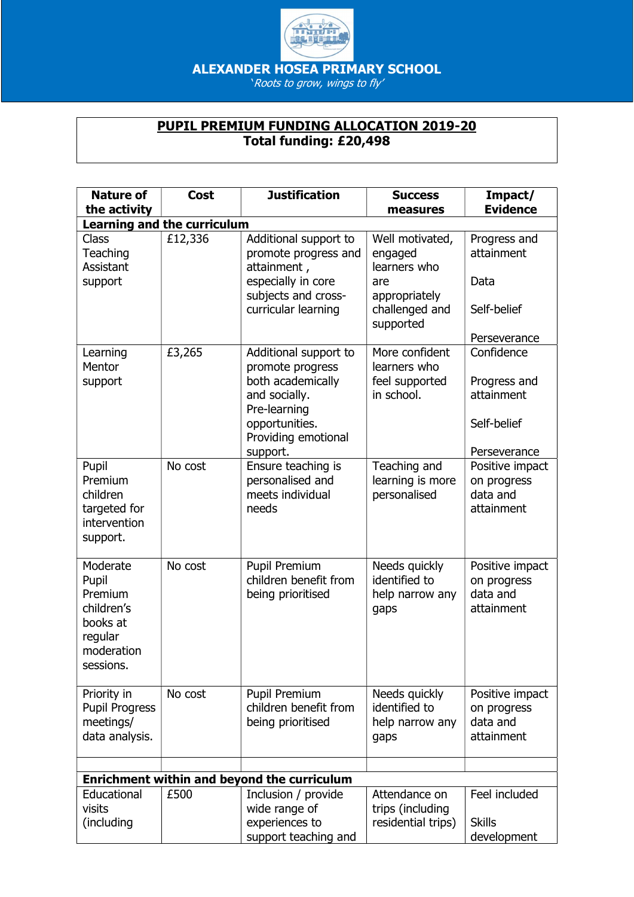

ALEXANDER HOSEA PRIMARY SCHOOL

'Roots to grow, wings to fly'

## PUPIL PREMIUM FUNDING ALLOCATION 2019-20 Total funding: £20,498

| <b>Nature of</b><br>the activity                                                             | <b>Cost</b> | <b>Justification</b>                                                                                                                                 | <b>Success</b><br>measures                                                                        | Impact/<br><b>Evidence</b>                                              |  |  |  |
|----------------------------------------------------------------------------------------------|-------------|------------------------------------------------------------------------------------------------------------------------------------------------------|---------------------------------------------------------------------------------------------------|-------------------------------------------------------------------------|--|--|--|
| <b>Learning and the curriculum</b>                                                           |             |                                                                                                                                                      |                                                                                                   |                                                                         |  |  |  |
| Class<br>Teaching<br>Assistant<br>support                                                    | £12,336     | Additional support to<br>promote progress and<br>attainment,<br>especially in core<br>subjects and cross-<br>curricular learning                     | Well motivated,<br>engaged<br>learners who<br>are<br>appropriately<br>challenged and<br>supported | Progress and<br>attainment<br>Data<br>Self-belief<br>Perseverance       |  |  |  |
| Learning<br>Mentor<br>support                                                                | £3,265      | Additional support to<br>promote progress<br>both academically<br>and socially.<br>Pre-learning<br>opportunities.<br>Providing emotional<br>support. | More confident<br>learners who<br>feel supported<br>in school.                                    | Confidence<br>Progress and<br>attainment<br>Self-belief<br>Perseverance |  |  |  |
| Pupil<br>Premium<br>children<br>targeted for<br>intervention<br>support.                     | No cost     | Ensure teaching is<br>personalised and<br>meets individual<br>needs                                                                                  | Teaching and<br>learning is more<br>personalised                                                  | Positive impact<br>on progress<br>data and<br>attainment                |  |  |  |
| Moderate<br>Pupil<br>Premium<br>children's<br>books at<br>regular<br>moderation<br>sessions. | No cost     | <b>Pupil Premium</b><br>children benefit from<br>being prioritised                                                                                   | Needs quickly<br>identified to<br>help narrow any<br>gaps                                         | Positive impact<br>on progress<br>data and<br>attainment                |  |  |  |
| Priority in<br><b>Pupil Progress</b><br>meetings/<br>data analysis.                          | No cost     | Pupil Premium<br>children benefit from<br>being prioritised                                                                                          | Needs quickly<br>identified to<br>help narrow any<br>gaps                                         | Positive impact<br>on progress<br>data and<br>attainment                |  |  |  |
|                                                                                              |             |                                                                                                                                                      |                                                                                                   |                                                                         |  |  |  |
| Enrichment within and beyond the curriculum                                                  |             |                                                                                                                                                      |                                                                                                   |                                                                         |  |  |  |
| Educational<br>visits<br>(including                                                          | £500        | Inclusion / provide<br>wide range of<br>experiences to<br>support teaching and                                                                       | Attendance on<br>trips (including<br>residential trips)                                           | Feel included<br><b>Skills</b><br>development                           |  |  |  |